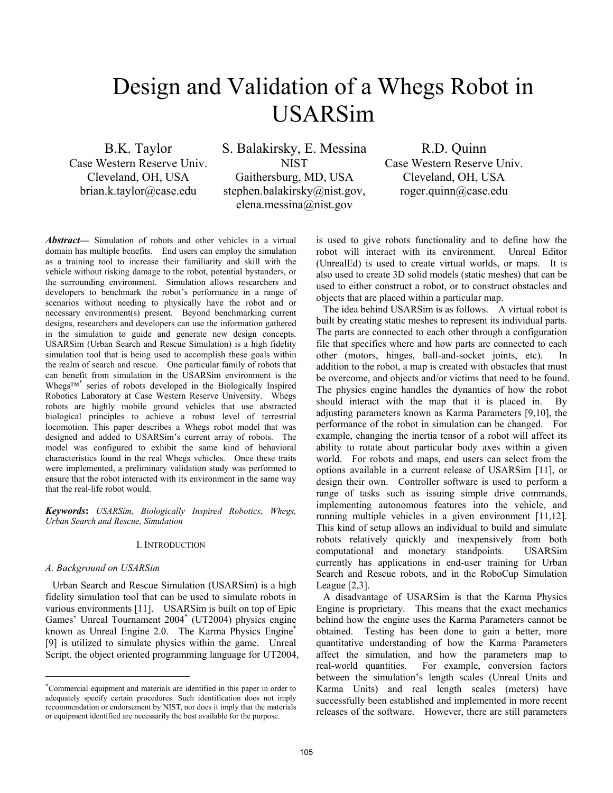# Design and Validation of a Whegs Robot in USARSim

B.K. Taylor Case Western Reserve Univ. Cleveland, OH, USA brian.k.taylor@case.edu

S. Balakirsky, E. Messina NIST Gaithersburg, MD, USA stephen.balakirsky@nist.gov, elena.messina@nist.gov

R.D. Quinn Case Western Reserve Univ. Cleveland, OH, USA roger.quinn@case.edu

*Abstract***—** Simulation of robots and other vehicles in a virtual domain has multiple benefits. End users can employ the simulation as a training tool to increase their familiarity and skill with the vehicle without risking damage to the robot, potential bystanders, or the surrounding environment. Simulation allows researchers and developers to benchmark the robot's performance in a range of scenarios without needing to physically have the robot and or necessary environment(s) present. Beyond benchmarking current designs, researchers and developers can use the information gathered in the simulation to guide and generate new design concepts. USARSim (Urban Search and Rescue Simulation) is a high fidelity simulation tool that is being used to accomplish these goals within the realm of search and rescue. One particular family of robots that can benefit from simulation in the USARSim environment is the Whegs™[\\*](#page-0-0) series of robots developed in the Biologically Inspired Robotics Laboratory at Case Western Reserve University. Whegs robots are highly mobile ground vehicles that use abstracted biological principles to achieve a robust level of terrestrial locomotion. This paper describes a Whegs robot model that was designed and added to USARSim's current array of robots. The model was configured to exhibit the same kind of behavioral characteristics found in the real Whegs vehicles. Once these traits were implemented, a preliminary validation study was performed to ensure that the robot interacted with its environment in the same way that the real-life robot would.

*Keywords***:** *USARSim, Biologically Inspired Robotics, Whegs, Urban Search and Rescue, Simulation*

## I. INTRODUCTION

#### *A. Background on USARSim*

-

Urban Search and Rescue Simulation (USARSim) is a high fidelity simulation tool that can be used to simulate robots in various environments [11]. USARSim is built on top of Epic Games' Unreal Tournament 2004\* (UT2004) physics engine known as Unreal Engine 2.0. The Karma Physics Engine<sup>\*</sup> [9] is utilized to simulate physics within the game. Unreal Script, the object oriented programming language for UT2004, is used to give robots functionality and to define how the robot will interact with its environment. Unreal Editor (UnrealEd) is used to create virtual worlds, or maps. It is also used to create 3D solid models (static meshes) that can be used to either construct a robot, or to construct obstacles and objects that are placed within a particular map.

The idea behind USARSim is as follows. A virtual robot is built by creating static meshes to represent its individual parts. The parts are connected to each other through a configuration file that specifies where and how parts are connected to each other (motors, hinges, ball-and-socket joints, etc). In addition to the robot, a map is created with obstacles that must be overcome, and objects and/or victims that need to be found. The physics engine handles the dynamics of how the robot should interact with the map that it is placed in. By adjusting parameters known as Karma Parameters [9,10], the performance of the robot in simulation can be changed. For example, changing the inertia tensor of a robot will affect its ability to rotate about particular body axes within a given world. For robots and maps, end users can select from the options available in a current release of USARSim [11], or design their own. Controller software is used to perform a range of tasks such as issuing simple drive commands, implementing autonomous features into the vehicle, and running multiple vehicles in a given environment [11,12]. This kind of setup allows an individual to build and simulate robots relatively quickly and inexpensively from both computational and monetary standpoints. USARSim currently has applications in end-user training for Urban Search and Rescue robots, and in the RoboCup Simulation League [2,3].

A disadvantage of USARSim is that the Karma Physics Engine is proprietary. This means that the exact mechanics behind how the engine uses the Karma Parameters cannot be obtained. Testing has been done to gain a better, more quantitative understanding of how the Karma Parameters affect the simulation, and how the parameters map to real-world quantities. For example, conversion factors between the simulation's length scales (Unreal Units and Karma Units) and real length scales (meters) have successfully been established and implemented in more recent releases of the software. However, there are still parameters

<span id="page-0-0"></span><sup>\*</sup>Commercial equipment and materials are identified in this paper in order to adequately specify certain procedures. Such identification does not imply recommendation or endorsement by NIST, nor does it imply that the materials or equipment identified are necessarily the best available for the purpose.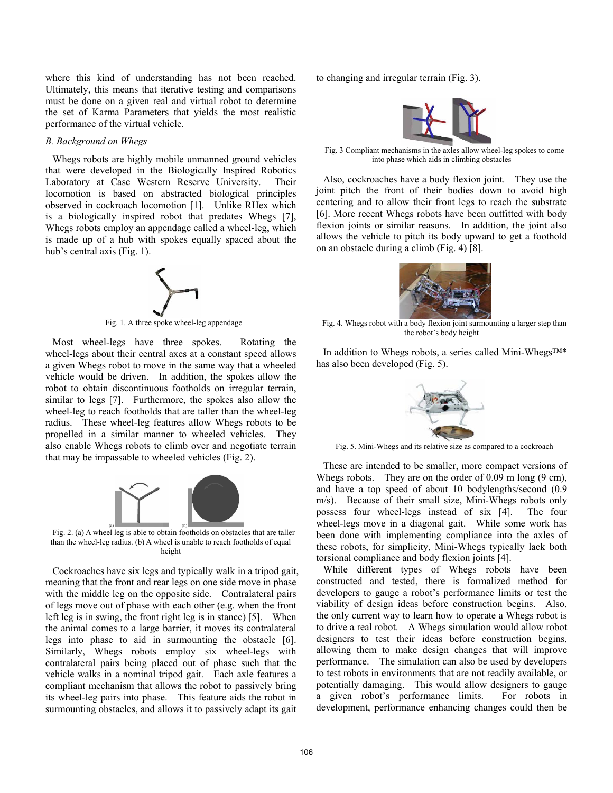where this kind of understanding has not been reached. Ultimately, this means that iterative testing and comparisons must be done on a given real and virtual robot to determine the set of Karma Parameters that yields the most realistic performance of the virtual vehicle.

## *B. Background on Whegs*

Whegs robots are highly mobile unmanned ground vehicles that were developed in the Biologically Inspired Robotics Laboratory at Case Western Reserve University. Their locomotion is based on abstracted biological principles observed in cockroach locomotion [1]. Unlike RHex which is a biologically inspired robot that predates Whegs [7], Whegs robots employ an appendage called a wheel-leg, which is made up of a hub with spokes equally spaced about the hub's central axis (Fig. 1).



Fig. 1. A three spoke wheel-leg appendage

Most wheel-legs have three spokes. Rotating the wheel-legs about their central axes at a constant speed allows a given Whegs robot to move in the same way that a wheeled vehicle would be driven. In addition, the spokes allow the robot to obtain discontinuous footholds on irregular terrain, similar to legs [7]. Furthermore, the spokes also allow the wheel-leg to reach footholds that are taller than the wheel-leg radius. These wheel-leg features allow Whegs robots to be propelled in a similar manner to wheeled vehicles. They also enable Whegs robots to climb over and negotiate terrain that may be impassable to wheeled vehicles (Fig. 2).



Fig. 2. (a) A wheel leg is able to obtain footholds on obstacles that are taller than the wheel-leg radius. (b) A wheel is unable to reach footholds of equal height

Cockroaches have six legs and typically walk in a tripod gait, meaning that the front and rear legs on one side move in phase with the middle leg on the opposite side. Contralateral pairs of legs move out of phase with each other (e.g. when the front left leg is in swing, the front right leg is in stance) [5]. When the animal comes to a large barrier, it moves its contralateral legs into phase to aid in surmounting the obstacle [6]. Similarly, Whegs robots employ six wheel-legs with contralateral pairs being placed out of phase such that the vehicle walks in a nominal tripod gait. Each axle features a compliant mechanism that allows the robot to passively bring its wheel-leg pairs into phase. This feature aids the robot in surmounting obstacles, and allows it to passively adapt its gait

to changing and irregular terrain (Fig. 3).



Fig. 3 Compliant mechanisms in the axles allow wheel-leg spokes to come into phase which aids in climbing obstacles

Also, cockroaches have a body flexion joint. They use the joint pitch the front of their bodies down to avoid high centering and to allow their front legs to reach the substrate [6]. More recent Whegs robots have been outfitted with body flexion joints or similar reasons. In addition, the joint also allows the vehicle to pitch its body upward to get a foothold on an obstacle during a climb (Fig. 4) [8].

Fig. 4. Whegs robot with a body flexion joint surmounting a larger step than the robot's body height

In addition to Whegs robots, a series called Mini-Whegs™\* has also been developed (Fig. 5).



Fig. 5. Mini-Whegs and its relative size as compared to a cockroach

These are intended to be smaller, more compact versions of Whegs robots. They are on the order of 0.09 m long (9 cm), and have a top speed of about 10 bodylengths/second (0.9 m/s). Because of their small size, Mini-Whegs robots only possess four wheel-legs instead of six [4]. The four wheel-legs move in a diagonal gait. While some work has been done with implementing compliance into the axles of these robots, for simplicity, Mini-Whegs typically lack both torsional compliance and body flexion joints [4].

While different types of Whegs robots have been constructed and tested, there is formalized method for developers to gauge a robot's performance limits or test the viability of design ideas before construction begins. Also, the only current way to learn how to operate a Whegs robot is to drive a real robot. A Whegs simulation would allow robot designers to test their ideas before construction begins, allowing them to make design changes that will improve performance. The simulation can also be used by developers to test robots in environments that are not readily available, or potentially damaging. This would allow designers to gauge a given robot's performance limits. For robots in development, performance enhancing changes could then be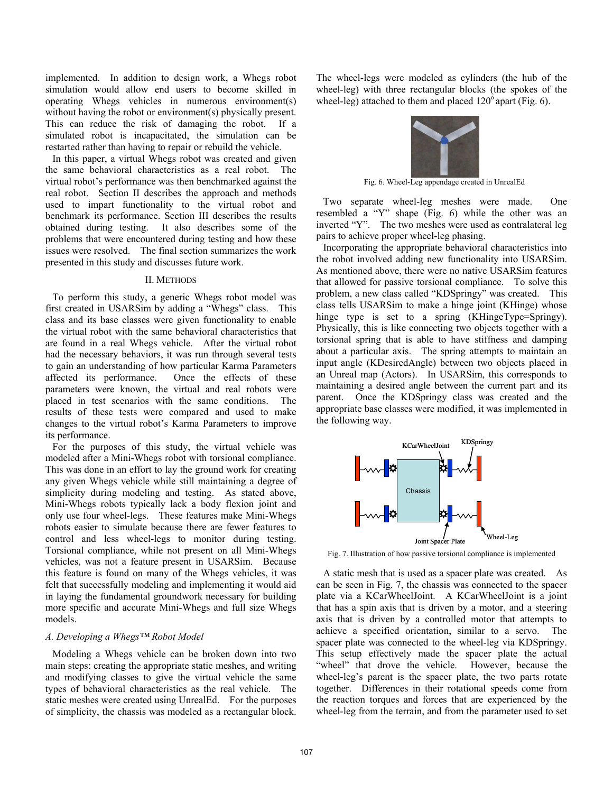implemented. In addition to design work, a Whegs robot simulation would allow end users to become skilled in operating Whegs vehicles in numerous environment(s) without having the robot or environment(s) physically present. This can reduce the risk of damaging the robot. If a simulated robot is incapacitated, the simulation can be restarted rather than having to repair or rebuild the vehicle.

In this paper, a virtual Whegs robot was created and given the same behavioral characteristics as a real robot. The virtual robot's performance was then benchmarked against the real robot. Section II describes the approach and methods used to impart functionality to the virtual robot and benchmark its performance. Section III describes the results obtained during testing. It also describes some of the problems that were encountered during testing and how these issues were resolved. The final section summarizes the work presented in this study and discusses future work.

## II. METHODS

To perform this study, a generic Whegs robot model was first created in USARSim by adding a "Whegs" class. This class and its base classes were given functionality to enable the virtual robot with the same behavioral characteristics that are found in a real Whegs vehicle. After the virtual robot had the necessary behaviors, it was run through several tests to gain an understanding of how particular Karma Parameters affected its performance. Once the effects of these parameters were known, the virtual and real robots were placed in test scenarios with the same conditions. The results of these tests were compared and used to make changes to the virtual robot's Karma Parameters to improve its performance.

For the purposes of this study, the virtual vehicle was modeled after a Mini-Whegs robot with torsional compliance. This was done in an effort to lay the ground work for creating any given Whegs vehicle while still maintaining a degree of simplicity during modeling and testing. As stated above, Mini-Whegs robots typically lack a body flexion joint and only use four wheel-legs. These features make Mini-Whegs robots easier to simulate because there are fewer features to control and less wheel-legs to monitor during testing. Torsional compliance, while not present on all Mini-Whegs vehicles, was not a feature present in USARSim. Because this feature is found on many of the Whegs vehicles, it was felt that successfully modeling and implementing it would aid in laying the fundamental groundwork necessary for building more specific and accurate Mini-Whegs and full size Whegs models.

## *A. Developing a Whegs™ Robot Model*

Modeling a Whegs vehicle can be broken down into two main steps: creating the appropriate static meshes, and writing and modifying classes to give the virtual vehicle the same types of behavioral characteristics as the real vehicle. The static meshes were created using UnrealEd. For the purposes of simplicity, the chassis was modeled as a rectangular block. The wheel-legs were modeled as cylinders (the hub of the wheel-leg) with three rectangular blocks (the spokes of the wheel-leg) attached to them and placed  $120^{\circ}$  apart (Fig. 6).



Fig. 6. Wheel-Leg appendage created in UnrealEd

Two separate wheel-leg meshes were made. One resembled a "Y" shape (Fig. 6) while the other was an inverted "Y". The two meshes were used as contralateral leg pairs to achieve proper wheel-leg phasing.

Incorporating the appropriate behavioral characteristics into the robot involved adding new functionality into USARSim. As mentioned above, there were no native USARSim features that allowed for passive torsional compliance. To solve this problem, a new class called "KDSpringy" was created. This class tells USARSim to make a hinge joint (KHinge) whose hinge type is set to a spring (KHingeType=Springy). Physically, this is like connecting two objects together with a torsional spring that is able to have stiffness and damping about a particular axis. The spring attempts to maintain an input angle (KDesiredAngle) between two objects placed in an Unreal map (Actors). In USARSim, this corresponds to maintaining a desired angle between the current part and its parent. Once the KDSpringy class was created and the appropriate base classes were modified, it was implemented in the following way.



Fig. 7. Illustration of how passive torsional compliance is implemented

A static mesh that is used as a spacer plate was created. As can be seen in Fig. 7, the chassis was connected to the spacer plate via a KCarWheelJoint. A KCarWheelJoint is a joint that has a spin axis that is driven by a motor, and a steering axis that is driven by a controlled motor that attempts to achieve a specified orientation, similar to a servo. The spacer plate was connected to the wheel-leg via KDSpringy. This setup effectively made the spacer plate the actual "wheel" that drove the vehicle. However, because the wheel-leg's parent is the spacer plate, the two parts rotate together. Differences in their rotational speeds come from the reaction torques and forces that are experienced by the wheel-leg from the terrain, and from the parameter used to set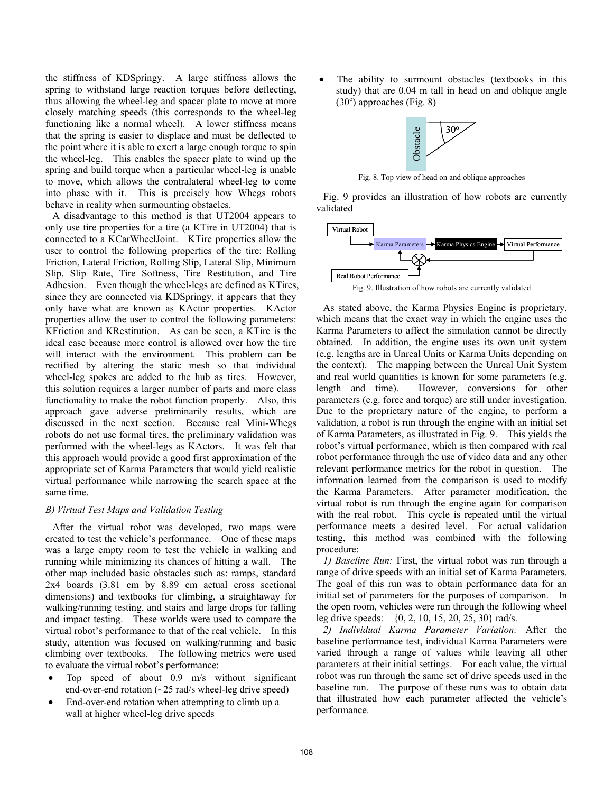the stiffness of KDSpringy. A large stiffness allows the spring to withstand large reaction torques before deflecting, thus allowing the wheel-leg and spacer plate to move at more closely matching speeds (this corresponds to the wheel-leg functioning like a normal wheel). A lower stiffness means that the spring is easier to displace and must be deflected to the point where it is able to exert a large enough torque to spin the wheel-leg. This enables the spacer plate to wind up the spring and build torque when a particular wheel-leg is unable to move, which allows the contralateral wheel-leg to come into phase with it. This is precisely how Whegs robots behave in reality when surmounting obstacles.

A disadvantage to this method is that UT2004 appears to only use tire properties for a tire (a KTire in UT2004) that is connected to a KCarWheelJoint. KTire properties allow the user to control the following properties of the tire: Rolling Friction, Lateral Friction, Rolling Slip, Lateral Slip, Minimum Slip, Slip Rate, Tire Softness, Tire Restitution, and Tire Adhesion. Even though the wheel-legs are defined as KTires, since they are connected via KDSpringy, it appears that they only have what are known as KActor properties. KActor properties allow the user to control the following parameters: KFriction and KRestitution. As can be seen, a KTire is the ideal case because more control is allowed over how the tire will interact with the environment. This problem can be rectified by altering the static mesh so that individual wheel-leg spokes are added to the hub as tires. However, this solution requires a larger number of parts and more class functionality to make the robot function properly. Also, this approach gave adverse preliminarily results, which are discussed in the next section. Because real Mini-Whegs robots do not use formal tires, the preliminary validation was performed with the wheel-legs as KActors. It was felt that this approach would provide a good first approximation of the appropriate set of Karma Parameters that would yield realistic virtual performance while narrowing the search space at the same time.

# *B) Virtual Test Maps and Validation Testing*

After the virtual robot was developed, two maps were created to test the vehicle's performance. One of these maps was a large empty room to test the vehicle in walking and running while minimizing its chances of hitting a wall. The other map included basic obstacles such as: ramps, standard 2x4 boards (3.81 cm by 8.89 cm actual cross sectional dimensions) and textbooks for climbing, a straightaway for walking/running testing, and stairs and large drops for falling and impact testing. These worlds were used to compare the virtual robot's performance to that of the real vehicle. In this study, attention was focused on walking/running and basic climbing over textbooks. The following metrics were used to evaluate the virtual robot's performance:

- Top speed of about 0.9 m/s without significant end-over-end rotation  $(\sim 25 \text{ rad/s wheel-leg drive speed})$
- End-over-end rotation when attempting to climb up a wall at higher wheel-leg drive speeds

The ability to surmount obstacles (textbooks in this study) that are 0.04 m tall in head on and oblique angle  $(30^{\circ})$  approaches (Fig. 8)



Fig. 8. Top view of head on and oblique approaches

Fig. 9 provides an illustration of how robots are currently validated



As stated above, the Karma Physics Engine is proprietary, which means that the exact way in which the engine uses the Karma Parameters to affect the simulation cannot be directly obtained. In addition, the engine uses its own unit system (e.g. lengths are in Unreal Units or Karma Units depending on the context). The mapping between the Unreal Unit System and real world quantities is known for some parameters (e.g. length and time). However, conversions for other parameters (e.g. force and torque) are still under investigation. Due to the proprietary nature of the engine, to perform a validation, a robot is run through the engine with an initial set of Karma Parameters, as illustrated in Fig. 9. This yields the robot's virtual performance, which is then compared with real robot performance through the use of video data and any other relevant performance metrics for the robot in question. The information learned from the comparison is used to modify the Karma Parameters. After parameter modification, the virtual robot is run through the engine again for comparison with the real robot. This cycle is repeated until the virtual performance meets a desired level. For actual validation testing, this method was combined with the following procedure:

*1) Baseline Run:* First, the virtual robot was run through a range of drive speeds with an initial set of Karma Parameters. The goal of this run was to obtain performance data for an initial set of parameters for the purposes of comparison. In the open room, vehicles were run through the following wheel leg drive speeds: {0, 2, 10, 15, 20, 25, 30} rad/s.

*2) Individual Karma Parameter Variation:* After the baseline performance test, individual Karma Parameters were varied through a range of values while leaving all other parameters at their initial settings. For each value, the virtual robot was run through the same set of drive speeds used in the baseline run. The purpose of these runs was to obtain data that illustrated how each parameter affected the vehicle's performance.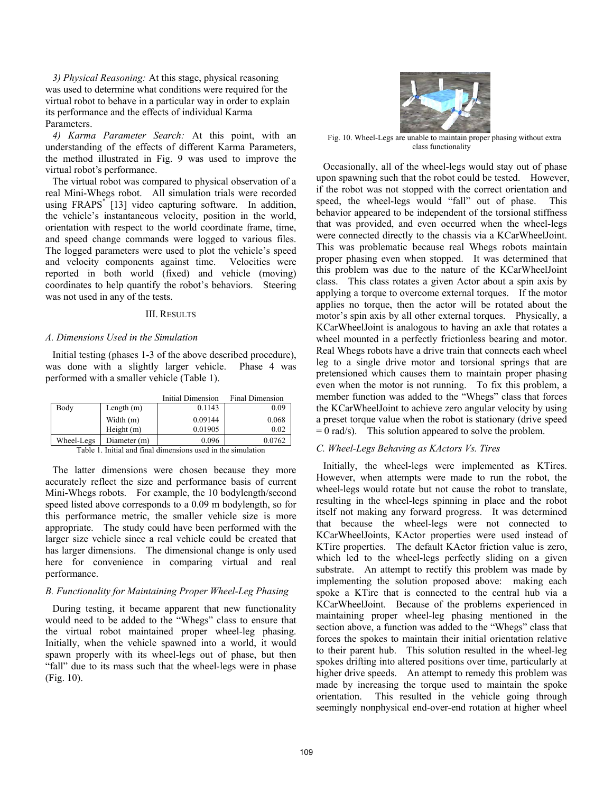*3) Physical Reasoning:* At this stage, physical reasoning was used to determine what conditions were required for the virtual robot to behave in a particular way in order to explain its performance and the effects of individual Karma Parameters.

*4) Karma Parameter Search:* At this point, with an understanding of the effects of different Karma Parameters, the method illustrated in Fig. 9 was used to improve the virtual robot's performance.

The virtual robot was compared to physical observation of a real Mini-Whegs robot. All simulation trials were recorded using FRAPS\* [13] video capturing software. In addition, the vehicle's instantaneous velocity, position in the world, orientation with respect to the world coordinate frame, time, and speed change commands were logged to various files. The logged parameters were used to plot the vehicle's speed and velocity components against time. Velocities were reported in both world (fixed) and vehicle (moving) coordinates to help quantify the robot's behaviors. Steering was not used in any of the tests.

## III. RESULTS

## *A. Dimensions Used in the Simulation*

Initial testing (phases 1-3 of the above described procedure), was done with a slightly larger vehicle. Phase 4 was performed with a smaller vehicle (Table 1).

|            |              | Initial Dimension | Final Dimension |
|------------|--------------|-------------------|-----------------|
| Body       | Length $(m)$ | 0.1143            | 0.09            |
|            | Width $(m)$  | 0.09144           | 0.068           |
|            | Height(m)    | 0.01905           | 0.02            |
| Wheel-Legs | Diameter (m) | 0.096             | 0.0762          |

Table 1. Initial and final dimensions used in the simulation

The latter dimensions were chosen because they more accurately reflect the size and performance basis of current Mini-Whegs robots. For example, the 10 bodylength/second speed listed above corresponds to a 0.09 m bodylength, so for this performance metric, the smaller vehicle size is more appropriate. The study could have been performed with the larger size vehicle since a real vehicle could be created that has larger dimensions. The dimensional change is only used here for convenience in comparing virtual and real performance.

# *B. Functionality for Maintaining Proper Wheel-Leg Phasing*

During testing, it became apparent that new functionality would need to be added to the "Whegs" class to ensure that the virtual robot maintained proper wheel-leg phasing. Initially, when the vehicle spawned into a world, it would spawn properly with its wheel-legs out of phase, but then "fall" due to its mass such that the wheel-legs were in phase (Fig. 10).



Fig. 10. Wheel-Legs are unable to maintain proper phasing without extra class functionality

Occasionally, all of the wheel-legs would stay out of phase upon spawning such that the robot could be tested. However, if the robot was not stopped with the correct orientation and speed, the wheel-legs would "fall" out of phase. This behavior appeared to be independent of the torsional stiffness that was provided, and even occurred when the wheel-legs were connected directly to the chassis via a KCarWheelJoint. This was problematic because real Whegs robots maintain proper phasing even when stopped. It was determined that this problem was due to the nature of the KCarWheelJoint class. This class rotates a given Actor about a spin axis by applying a torque to overcome external torques. If the motor applies no torque, then the actor will be rotated about the motor's spin axis by all other external torques. Physically, a KCarWheelJoint is analogous to having an axle that rotates a wheel mounted in a perfectly frictionless bearing and motor. Real Whegs robots have a drive train that connects each wheel leg to a single drive motor and torsional springs that are pretensioned which causes them to maintain proper phasing even when the motor is not running. To fix this problem, a member function was added to the "Whegs" class that forces the KCarWheelJoint to achieve zero angular velocity by using a preset torque value when the robot is stationary (drive speed  $= 0$  rad/s). This solution appeared to solve the problem.

## *C. Wheel-Legs Behaving as KActors Vs. Tires*

Initially, the wheel-legs were implemented as KTires. However, when attempts were made to run the robot, the wheel-legs would rotate but not cause the robot to translate, resulting in the wheel-legs spinning in place and the robot itself not making any forward progress. It was determined that because the wheel-legs were not connected to KCarWheelJoints, KActor properties were used instead of KTire properties. The default KActor friction value is zero, which led to the wheel-legs perfectly sliding on a given substrate. An attempt to rectify this problem was made by implementing the solution proposed above: making each spoke a KTire that is connected to the central hub via a KCarWheelJoint. Because of the problems experienced in maintaining proper wheel-leg phasing mentioned in the section above, a function was added to the "Whegs" class that forces the spokes to maintain their initial orientation relative to their parent hub. This solution resulted in the wheel-leg spokes drifting into altered positions over time, particularly at higher drive speeds. An attempt to remedy this problem was made by increasing the torque used to maintain the spoke orientation. This resulted in the vehicle going through seemingly nonphysical end-over-end rotation at higher wheel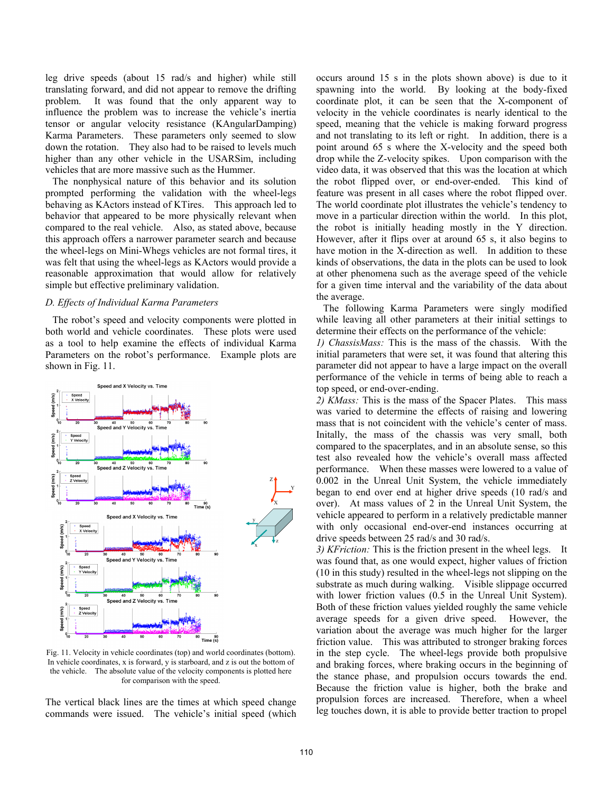leg drive speeds (about 15 rad/s and higher) while still translating forward, and did not appear to remove the drifting problem. It was found that the only apparent way to influence the problem was to increase the vehicle's inertia tensor or angular velocity resistance (KAngularDamping) Karma Parameters. These parameters only seemed to slow down the rotation. They also had to be raised to levels much higher than any other vehicle in the USARSim, including vehicles that are more massive such as the Hummer.

The nonphysical nature of this behavior and its solution prompted performing the validation with the wheel-legs behaving as KActors instead of KTires. This approach led to behavior that appeared to be more physically relevant when compared to the real vehicle. Also, as stated above, because this approach offers a narrower parameter search and because the wheel-legs on Mini-Whegs vehicles are not formal tires, it was felt that using the wheel-legs as KActors would provide a reasonable approximation that would allow for relatively simple but effective preliminary validation.

## *D. Effects of Individual Karma Parameters*

The robot's speed and velocity components were plotted in both world and vehicle coordinates. These plots were used as a tool to help examine the effects of individual Karma Parameters on the robot's performance. Example plots are shown in Fig. 11.



Fig. 11. Velocity in vehicle coordinates (top) and world coordinates (bottom). In vehicle coordinates, x is forward, y is starboard, and z is out the bottom of the vehicle. The absolute value of the velocity components is plotted here for comparison with the speed.

The vertical black lines are the times at which speed change commands were issued. The vehicle's initial speed (which occurs around 15 s in the plots shown above) is due to it spawning into the world. By looking at the body-fixed coordinate plot, it can be seen that the X-component of velocity in the vehicle coordinates is nearly identical to the speed, meaning that the vehicle is making forward progress and not translating to its left or right. In addition, there is a point around 65 s where the X-velocity and the speed both drop while the Z-velocity spikes. Upon comparison with the video data, it was observed that this was the location at which the robot flipped over, or end-over-ended. This kind of feature was present in all cases where the robot flipped over. The world coordinate plot illustrates the vehicle's tendency to move in a particular direction within the world. In this plot, the robot is initially heading mostly in the Y direction. However, after it flips over at around 65 s, it also begins to have motion in the X-direction as well. In addition to these kinds of observations, the data in the plots can be used to look at other phenomena such as the average speed of the vehicle for a given time interval and the variability of the data about the average.

The following Karma Parameters were singly modified while leaving all other parameters at their initial settings to determine their effects on the performance of the vehicle:

*1) ChassisMass:* This is the mass of the chassis. With the initial parameters that were set, it was found that altering this parameter did not appear to have a large impact on the overall performance of the vehicle in terms of being able to reach a top speed, or end-over-ending.

*2) KMass:* This is the mass of the Spacer Plates. This mass was varied to determine the effects of raising and lowering mass that is not coincident with the vehicle's center of mass. Initally, the mass of the chassis was very small, both compared to the spacerplates, and in an absolute sense, so this test also revealed how the vehicle's overall mass affected performance. When these masses were lowered to a value of 0.002 in the Unreal Unit System, the vehicle immediately began to end over end at higher drive speeds (10 rad/s and over). At mass values of 2 in the Unreal Unit System, the vehicle appeared to perform in a relatively predictable manner with only occasional end-over-end instances occurring at drive speeds between 25 rad/s and 30 rad/s.

*3) KFriction:* This is the friction present in the wheel legs. It was found that, as one would expect, higher values of friction (10 in this study) resulted in the wheel-legs not slipping on the substrate as much during walking. Visible slippage occurred with lower friction values (0.5 in the Unreal Unit System). Both of these friction values yielded roughly the same vehicle average speeds for a given drive speed. However, the variation about the average was much higher for the larger friction value. This was attributed to stronger braking forces in the step cycle. The wheel-legs provide both propulsive and braking forces, where braking occurs in the beginning of the stance phase, and propulsion occurs towards the end. Because the friction value is higher, both the brake and propulsion forces are increased. Therefore, when a wheel leg touches down, it is able to provide better traction to propel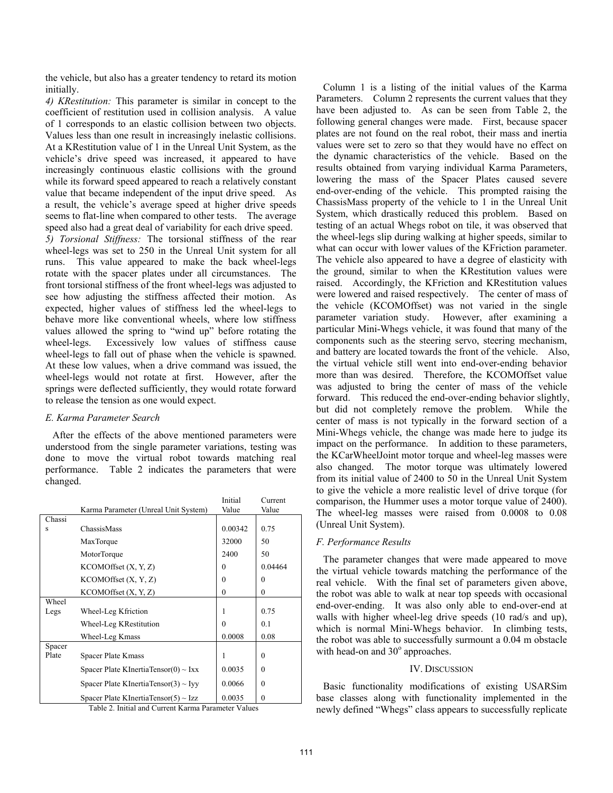the vehicle, but also has a greater tendency to retard its motion initially.

*4) KRestitution:* This parameter is similar in concept to the coefficient of restitution used in collision analysis. A value of 1 corresponds to an elastic collision between two objects. Values less than one result in increasingly inelastic collisions. At a KRestitution value of 1 in the Unreal Unit System, as the vehicle's drive speed was increased, it appeared to have increasingly continuous elastic collisions with the ground while its forward speed appeared to reach a relatively constant value that became independent of the input drive speed. As a result, the vehicle's average speed at higher drive speeds seems to flat-line when compared to other tests. The average speed also had a great deal of variability for each drive speed. *5) Torsional Stiffness:* The torsional stiffness of the rear wheel-legs was set to 250 in the Unreal Unit system for all runs. This value appeared to make the back wheel-legs rotate with the spacer plates under all circumstances. The front torsional stiffness of the front wheel-legs was adjusted to see how adjusting the stiffness affected their motion. As expected, higher values of stiffness led the wheel-legs to behave more like conventional wheels, where low stiffness values allowed the spring to "wind up" before rotating the wheel-legs. Excessively low values of stiffness cause wheel-legs to fall out of phase when the vehicle is spawned. At these low values, when a drive command was issued, the wheel-legs would not rotate at first. However, after the springs were deflected sufficiently, they would rotate forward to release the tension as one would expect.

# *E. Karma Parameter Search*

After the effects of the above mentioned parameters were understood from the single parameter variations, testing was done to move the virtual robot towards matching real performance. Table 2 indicates the parameters that were changed.

|                                                     | Karma Parameter (Unreal Unit System)      | Initial<br>Value | Current<br>Value |  |
|-----------------------------------------------------|-------------------------------------------|------------------|------------------|--|
| Chassi                                              |                                           |                  |                  |  |
| S                                                   | ChassisMass                               | 0.00342          | 0.75             |  |
|                                                     | MaxTorque                                 | 32000            | 50               |  |
|                                                     | MotorTorque                               | 2400             | 50               |  |
|                                                     | KCOMOffset(X, Y, Z)                       | $\theta$         | 0.04464          |  |
|                                                     | KCOMOffset (X, Y, Z)                      | $\theta$         | 0                |  |
|                                                     | KCOMOffset (X, Y, Z)                      | $\theta$         | 0                |  |
| Wheel                                               |                                           |                  |                  |  |
| Legs                                                | Wheel-Leg Kfriction                       | 1                | 0.75             |  |
|                                                     | Wheel-Leg KRestitution                    | $\theta$         | 0.1              |  |
|                                                     | Wheel-Leg Kmass                           | 0.0008           | 0.08             |  |
| Spacer                                              |                                           |                  |                  |  |
| Plate                                               | Spacer Plate Kmass                        | 1                | $\theta$         |  |
|                                                     | Spacer Plate KInertiaTensor(0) ~ Ixx      | 0.0035           | $\theta$         |  |
|                                                     | Spacer Plate KInertiaTensor(3) $\sim$ Iyy | 0.0066           | $\theta$         |  |
|                                                     | Spacer Plate KInertiaTensor(5) $\sim$ Izz | 0.0035           | $\theta$         |  |
| Table 2. Initial and Current Karma Parameter Values |                                           |                  |                  |  |

Column 1 is a listing of the initial values of the Karma Parameters. Column 2 represents the current values that they have been adjusted to. As can be seen from Table 2, the following general changes were made. First, because spacer plates are not found on the real robot, their mass and inertia values were set to zero so that they would have no effect on the dynamic characteristics of the vehicle. Based on the results obtained from varying individual Karma Parameters, lowering the mass of the Spacer Plates caused severe end-over-ending of the vehicle. This prompted raising the ChassisMass property of the vehicle to 1 in the Unreal Unit System, which drastically reduced this problem. Based on testing of an actual Whegs robot on tile, it was observed that the wheel-legs slip during walking at higher speeds, similar to what can occur with lower values of the KFriction parameter. The vehicle also appeared to have a degree of elasticity with the ground, similar to when the KRestitution values were raised. Accordingly, the KFriction and KRestitution values were lowered and raised respectively. The center of mass of the vehicle (KCOMOffset) was not varied in the single parameter variation study. However, after examining a particular Mini-Whegs vehicle, it was found that many of the components such as the steering servo, steering mechanism, and battery are located towards the front of the vehicle. Also, the virtual vehicle still went into end-over-ending behavior more than was desired. Therefore, the KCOMOffset value was adjusted to bring the center of mass of the vehicle forward. This reduced the end-over-ending behavior slightly, but did not completely remove the problem. While the center of mass is not typically in the forward section of a Mini-Whegs vehicle, the change was made here to judge its impact on the performance. In addition to these parameters, the KCarWheelJoint motor torque and wheel-leg masses were also changed. The motor torque was ultimately lowered from its initial value of 2400 to 50 in the Unreal Unit System to give the vehicle a more realistic level of drive torque (for comparison, the Hummer uses a motor torque value of 2400). The wheel-leg masses were raised from 0.0008 to 0.08 (Unreal Unit System).

# *F. Performance Results*

The parameter changes that were made appeared to move the virtual vehicle towards matching the performance of the real vehicle. With the final set of parameters given above, the robot was able to walk at near top speeds with occasional end-over-ending. It was also only able to end-over-end at walls with higher wheel-leg drive speeds (10 rad/s and up), which is normal Mini-Whegs behavior. In climbing tests, the robot was able to successfully surmount a 0.04 m obstacle with head-on and  $30^{\circ}$  approaches.

# IV. DISCUSSION

Basic functionality modifications of existing USARSim base classes along with functionality implemented in the newly defined "Whegs" class appears to successfully replicate